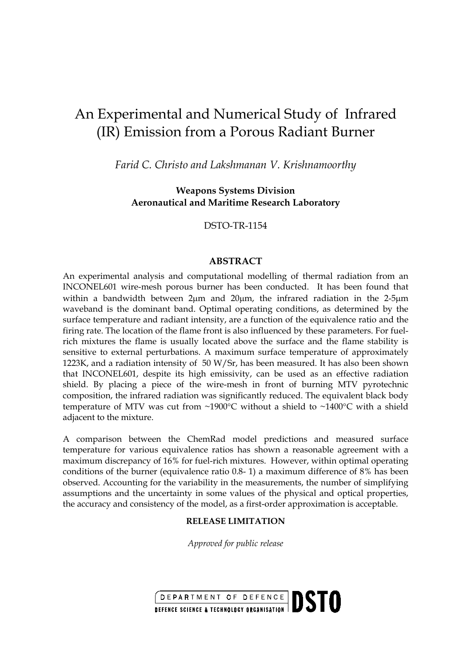# An Experimental and Numerical Study of Infrared (IR) Emission from a Porous Radiant Burner

*Farid C. Christo and Lakshmanan V. Krishnamoorthy*

**Weapons Systems Division Aeronautical and Maritime Research Laboratory**

DSTO-TR-1154

#### **ABSTRACT**

An experimental analysis and computational modelling of thermal radiation from an INCONEL601 wire-mesh porous burner has been conducted. It has been found that within a bandwidth between 2µm and 20µm, the infrared radiation in the 2-5µm waveband is the dominant band. Optimal operating conditions, as determined by the surface temperature and radiant intensity, are a function of the equivalence ratio and the firing rate. The location of the flame front is also influenced by these parameters. For fuelrich mixtures the flame is usually located above the surface and the flame stability is sensitive to external perturbations. A maximum surface temperature of approximately 1223K, and a radiation intensity of 50 W/Sr, has been measured. It has also been shown that INCONEL601, despite its high emissivity, can be used as an effective radiation shield. By placing a piece of the wire-mesh in front of burning MTV pyrotechnic composition, the infrared radiation was significantly reduced. The equivalent black body temperature of MTV was cut from ~1900°C without a shield to ~1400°C with a shield adjacent to the mixture.

A comparison between the ChemRad model predictions and measured surface temperature for various equivalence ratios has shown a reasonable agreement with a maximum discrepancy of 16% for fuel-rich mixtures. However, within optimal operating conditions of the burner (equivalence ratio 0.8- 1) a maximum difference of 8% has been observed. Accounting for the variability in the measurements, the number of simplifying assumptions and the uncertainty in some values of the physical and optical properties, the accuracy and consistency of the model, as a first-order approximation is acceptable.

#### **RELEASE LIMITATION**

*Approved for public release*

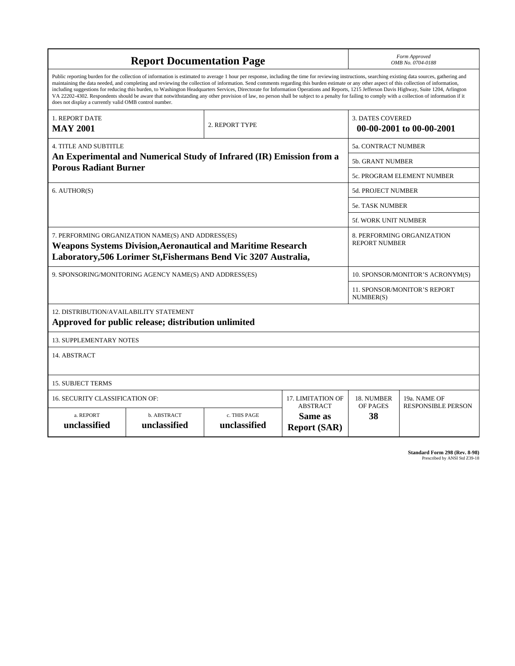|                                                                                                                                                                                                                                                                                                                                                                                                                                                                                                                                                                                                                                                                                                                                                                                                                                                                    |                     |                                                     |  |                            | Form Approved                             |  |  |
|--------------------------------------------------------------------------------------------------------------------------------------------------------------------------------------------------------------------------------------------------------------------------------------------------------------------------------------------------------------------------------------------------------------------------------------------------------------------------------------------------------------------------------------------------------------------------------------------------------------------------------------------------------------------------------------------------------------------------------------------------------------------------------------------------------------------------------------------------------------------|---------------------|-----------------------------------------------------|--|----------------------------|-------------------------------------------|--|--|
| <b>Report Documentation Page</b>                                                                                                                                                                                                                                                                                                                                                                                                                                                                                                                                                                                                                                                                                                                                                                                                                                   |                     |                                                     |  | OMB No. 0704-0188          |                                           |  |  |
| Public reporting burden for the collection of information is estimated to average 1 hour per response, including the time for reviewing instructions, searching existing data sources, gathering and<br>maintaining the data needed, and completing and reviewing the collection of information. Send comments regarding this burden estimate or any other aspect of this collection of information,<br>including suggestions for reducing this burden, to Washington Headquarters Services, Directorate for Information Operations and Reports, 1215 Jefferson Davis Highway, Suite 1204, Arlington<br>VA 22202-4302. Respondents should be aware that notwithstanding any other provision of law, no person shall be subject to a penalty for failing to comply with a collection of information if it<br>does not display a currently valid OMB control number. |                     |                                                     |  |                            |                                           |  |  |
| 1. REPORT DATE<br><b>MAY 2001</b>                                                                                                                                                                                                                                                                                                                                                                                                                                                                                                                                                                                                                                                                                                                                                                                                                                  |                     | <b>3. DATES COVERED</b><br>00-00-2001 to 00-00-2001 |  |                            |                                           |  |  |
| <b>4. TITLE AND SUBTITLE</b>                                                                                                                                                                                                                                                                                                                                                                                                                                                                                                                                                                                                                                                                                                                                                                                                                                       | 5a. CONTRACT NUMBER |                                                     |  |                            |                                           |  |  |
| An Experimental and Numerical Study of Infrared (IR) Emission from a                                                                                                                                                                                                                                                                                                                                                                                                                                                                                                                                                                                                                                                                                                                                                                                               |                     |                                                     |  |                            | <b>5b. GRANT NUMBER</b>                   |  |  |
| <b>Porous Radiant Burner</b>                                                                                                                                                                                                                                                                                                                                                                                                                                                                                                                                                                                                                                                                                                                                                                                                                                       |                     |                                                     |  | 5c. PROGRAM ELEMENT NUMBER |                                           |  |  |
| 6. AUTHOR(S)                                                                                                                                                                                                                                                                                                                                                                                                                                                                                                                                                                                                                                                                                                                                                                                                                                                       |                     |                                                     |  | <b>5d. PROJECT NUMBER</b>  |                                           |  |  |
|                                                                                                                                                                                                                                                                                                                                                                                                                                                                                                                                                                                                                                                                                                                                                                                                                                                                    |                     |                                                     |  |                            | 5e. TASK NUMBER                           |  |  |
|                                                                                                                                                                                                                                                                                                                                                                                                                                                                                                                                                                                                                                                                                                                                                                                                                                                                    |                     |                                                     |  |                            | <b>5f. WORK UNIT NUMBER</b>               |  |  |
| 7. PERFORMING ORGANIZATION NAME(S) AND ADDRESS(ES)<br>8. PERFORMING ORGANIZATION<br><b>REPORT NUMBER</b><br><b>Weapons Systems Division, Aeronautical and Maritime Research</b><br>Laboratory, 506 Lorimer St, Fishermans Bend Vic 3207 Australia,                                                                                                                                                                                                                                                                                                                                                                                                                                                                                                                                                                                                                 |                     |                                                     |  |                            |                                           |  |  |
| 9. SPONSORING/MONITORING AGENCY NAME(S) AND ADDRESS(ES)                                                                                                                                                                                                                                                                                                                                                                                                                                                                                                                                                                                                                                                                                                                                                                                                            |                     |                                                     |  |                            | 10. SPONSOR/MONITOR'S ACRONYM(S)          |  |  |
|                                                                                                                                                                                                                                                                                                                                                                                                                                                                                                                                                                                                                                                                                                                                                                                                                                                                    |                     |                                                     |  |                            | 11. SPONSOR/MONITOR'S REPORT<br>NUMBER(S) |  |  |
| 12. DISTRIBUTION/AVAILABILITY STATEMENT<br>Approved for public release; distribution unlimited                                                                                                                                                                                                                                                                                                                                                                                                                                                                                                                                                                                                                                                                                                                                                                     |                     |                                                     |  |                            |                                           |  |  |
| <b>13. SUPPLEMENTARY NOTES</b>                                                                                                                                                                                                                                                                                                                                                                                                                                                                                                                                                                                                                                                                                                                                                                                                                                     |                     |                                                     |  |                            |                                           |  |  |
| 14. ABSTRACT                                                                                                                                                                                                                                                                                                                                                                                                                                                                                                                                                                                                                                                                                                                                                                                                                                                       |                     |                                                     |  |                            |                                           |  |  |
| <b>15. SUBJECT TERMS</b>                                                                                                                                                                                                                                                                                                                                                                                                                                                                                                                                                                                                                                                                                                                                                                                                                                           |                     |                                                     |  |                            |                                           |  |  |
| 16. SECURITY CLASSIFICATION OF:<br>17. LIMITATION OF                                                                                                                                                                                                                                                                                                                                                                                                                                                                                                                                                                                                                                                                                                                                                                                                               |                     |                                                     |  |                            | 19a. NAME OF                              |  |  |
| <b>ABSTRACT</b><br>a. REPORT<br>b. ABSTRACT<br>c. THIS PAGE<br>Same as<br>unclassified<br>unclassified<br>unclassified<br><b>Report (SAR)</b>                                                                                                                                                                                                                                                                                                                                                                                                                                                                                                                                                                                                                                                                                                                      |                     |                                                     |  |                            | <b>RESPONSIBLE PERSON</b>                 |  |  |

**Standard Form 298 (Rev. 8-98)**<br>Prescribed by ANSI Std Z39-18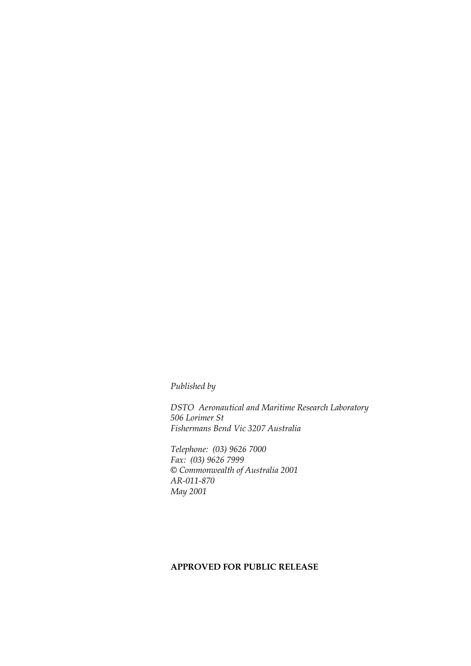*Published by*

*DSTO Aeronautical and Maritime Research Laboratory 506 Lorimer St Fishermans Bend Vic 3207 Australia*

*Telephone: (03) 9626 7000 Fax: (03) 9626 7999 © Commonwealth of Australia 2001 AR-011-870 May 2001*

## **APPROVED FOR PUBLIC RELEASE**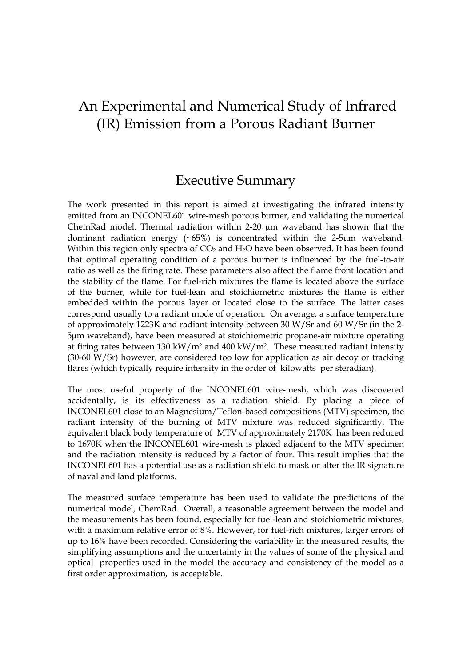# An Experimental and Numerical Study of Infrared (IR) Emission from a Porous Radiant Burner

# Executive Summary

The work presented in this report is aimed at investigating the infrared intensity emitted from an INCONEL601 wire-mesh porous burner, and validating the numerical ChemRad model. Thermal radiation within 2-20 µm waveband has shown that the dominant radiation energy  $(~65\%)$  is concentrated within the 2-5µm waveband. Within this region only spectra of  $CO<sub>2</sub>$  and  $H<sub>2</sub>O$  have been observed. It has been found that optimal operating condition of a porous burner is influenced by the fuel-to-air ratio as well as the firing rate. These parameters also affect the flame front location and the stability of the flame. For fuel-rich mixtures the flame is located above the surface of the burner, while for fuel-lean and stoichiometric mixtures the flame is either embedded within the porous layer or located close to the surface. The latter cases correspond usually to a radiant mode of operation. On average, a surface temperature of approximately 1223K and radiant intensity between 30 W/Sr and 60 W/Sr (in the 2- 5µm waveband), have been measured at stoichiometric propane-air mixture operating at firing rates between 130 kW/m<sup>2</sup> and 400 kW/m<sup>2</sup>. These measured radiant intensity (30-60 W/Sr) however, are considered too low for application as air decoy or tracking flares (which typically require intensity in the order of kilowatts per steradian).

The most useful property of the INCONEL601 wire-mesh, which was discovered accidentally, is its effectiveness as a radiation shield. By placing a piece of INCONEL601 close to an Magnesium/Teflon-based compositions (MTV) specimen, the radiant intensity of the burning of MTV mixture was reduced significantly. The equivalent black body temperature of MTV of approximately 2170K has been reduced to 1670K when the INCONEL601 wire-mesh is placed adjacent to the MTV specimen and the radiation intensity is reduced by a factor of four. This result implies that the INCONEL601 has a potential use as a radiation shield to mask or alter the IR signature of naval and land platforms.

The measured surface temperature has been used to validate the predictions of the numerical model, ChemRad. Overall, a reasonable agreement between the model and the measurements has been found, especially for fuel-lean and stoichiometric mixtures, with a maximum relative error of 8%. However, for fuel-rich mixtures, larger errors of up to 16% have been recorded. Considering the variability in the measured results, the simplifying assumptions and the uncertainty in the values of some of the physical and optical properties used in the model the accuracy and consistency of the model as a first order approximation, is acceptable.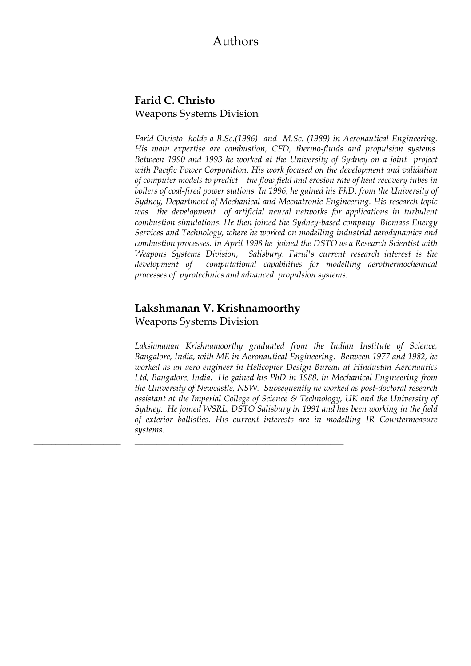## Authors

## **Farid C. Christo** Weapons Systems Division

*Farid Christo holds a B.Sc.(1986) and M.Sc. (1989) in Aeronautical Engineering. His main expertise are combustion, CFD, thermo-fluids and propulsion systems. Between 1990 and 1993 he worked at the University of Sydney on a joint project with Pacific Power Corporation. His work focused on the development and validation of computer models to predict the flow field and erosion rate of heat recovery tubes in boilers of coal-fired power stations. In 1996, he gained his PhD. from the University of Sydney, Department of Mechanical and Mechatronic Engineering. His research topic was the development of artificial neural networks for applications in turbulent combustion simulations. He then joined the Sydney-based company Biomass Energy Services and Technology, where he worked on modelling industrial aerodynamics and combustion processes. In April 1998 he joined the DSTO as a Research Scientist with Weapons Systems Division, Salisbury. Farid's current research interest is the development of computational capabilities for modelling aerothermochemical processes of pyrotechnics and advanced propulsion systems.* 

## **Lakshmanan V. Krishnamoorthy** Weapons Systems Division

\_\_\_\_\_\_\_\_\_\_\_\_\_\_\_\_\_\_\_\_ \_\_\_\_\_\_\_\_\_\_\_\_\_\_\_\_\_\_\_\_\_\_\_\_\_\_\_\_\_\_\_\_\_\_\_\_\_\_\_\_\_\_\_\_\_\_\_\_

\_\_\_\_\_\_\_\_\_\_\_\_\_\_\_\_\_\_\_\_ \_\_\_\_\_\_\_\_\_\_\_\_\_\_\_\_\_\_\_\_\_\_\_\_\_\_\_\_\_\_\_\_\_\_\_\_\_\_\_\_\_\_\_\_\_\_\_\_

*Lakshmanan Krishnamoorthy graduated from the Indian Institute of Science, Bangalore, India, with ME in Aeronautical Engineering. Between 1977 and 1982, he worked as an aero engineer in Helicopter Design Bureau at Hindustan Aeronautics Ltd, Bangalore, India. He gained his PhD in 1988, in Mechanical Engineering from the University of Newcastle, NSW. Subsequently he worked as post-doctoral research assistant at the Imperial College of Science & Technology, UK and the University of Sydney. He joined WSRL, DSTO Salisbury in 1991 and has been working in the field of exterior ballistics. His current interests are in modelling IR Countermeasure systems.*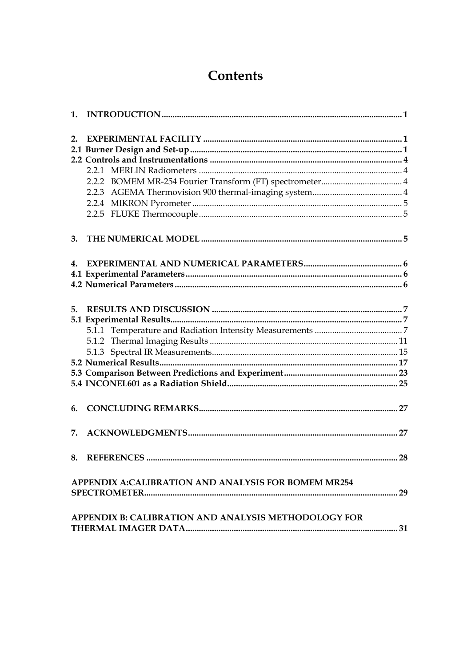# Contents

| 2. |                                                            |  |
|----|------------------------------------------------------------|--|
|    |                                                            |  |
|    |                                                            |  |
|    |                                                            |  |
|    |                                                            |  |
|    |                                                            |  |
|    |                                                            |  |
|    |                                                            |  |
| 3. |                                                            |  |
| 4. |                                                            |  |
|    |                                                            |  |
|    |                                                            |  |
|    |                                                            |  |
|    |                                                            |  |
|    |                                                            |  |
|    |                                                            |  |
|    |                                                            |  |
|    |                                                            |  |
|    |                                                            |  |
|    |                                                            |  |
|    |                                                            |  |
| 6. |                                                            |  |
|    |                                                            |  |
| 7. |                                                            |  |
|    |                                                            |  |
|    | <b>APPENDIX A:CALIBRATION AND ANALYSIS FOR BOMEM MR254</b> |  |
|    |                                                            |  |
|    | APPENDIX B: CALIBRATION AND ANALYSIS METHODOLOGY FOR       |  |
|    |                                                            |  |
|    |                                                            |  |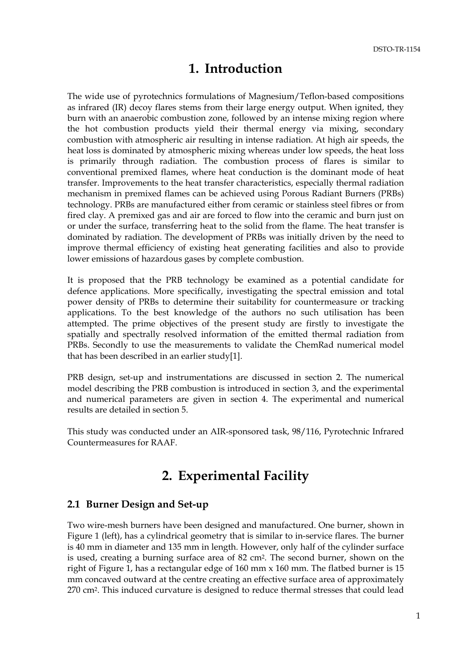## **1. Introduction**

<span id="page-6-0"></span>The wide use of pyrotechnics formulations of Magnesium/Teflon-based compositions as infrared (IR) decoy flares stems from their large energy output. When ignited, they burn with an anaerobic combustion zone, followed by an intense mixing region where the hot combustion products yield their thermal energy via mixing, secondary combustion with atmospheric air resulting in intense radiation. At high air speeds, the heat loss is dominated by atmospheric mixing whereas under low speeds, the heat loss is primarily through radiation. The combustion process of flares is similar to conventional premixed flames, where heat conduction is the dominant mode of heat transfer. Improvements to the heat transfer characteristics, especially thermal radiation mechanism in premixed flames can be achieved using Porous Radiant Burners (PRBs) technology. PRBs are manufactured either from ceramic or stainless steel fibres or from fired clay. A premixed gas and air are forced to flow into the ceramic and burn just on or under the surface, transferring heat to the solid from the flame. The heat transfer is dominated by radiation. The development of PRBs was initially driven by the need to improve thermal efficiency of existing heat generating facilities and also to provide lower emissions of hazardous gases by complete combustion.

It is proposed that the PRB technology be examined as a potential candidate for defence applications. More specifically, investigating the spectral emission and total power density of PRBs to determine their suitability for countermeasure or tracking applications. To the best knowledge of the authors no such utilisation has been attempted. The prime objectives of the present study are firstly to investigate the spatially and spectrally resolved information of the emitted thermal radiation from PRBs. Secondly to use the measurements to validate the ChemRad numerical model that has been described in an earlier study[1].

PRB design, set-up and instrumentations are discussed in section 2. The numerical model describing the PRB combustion is introduced in section 3, and the experimental and numerical parameters are given in section 4. The experimental and numerical results are detailed in section 5.

This study was conducted under an AIR-sponsored task, 98/116, Pyrotechnic Infrared Countermeasures for RAAF.

# **2. Experimental Facility**

## **2.1 Burner Design and Set-up**

Two wire-mesh burners have been designed and manufactured. One burner, shown in Figure 1 (left), has a cylindrical geometry that is similar to in-service flares. The burner is 40 mm in diameter and 135 mm in length. However, only half of the cylinder surface is used, creating a burning surface area of 82 cm2. The second burner, shown on the right of Figure 1, has a rectangular edge of 160 mm x 160 mm. The flatbed burner is 15 mm concaved outward at the centre creating an effective surface area of approximately 270 cm2. This induced curvature is designed to reduce thermal stresses that could lead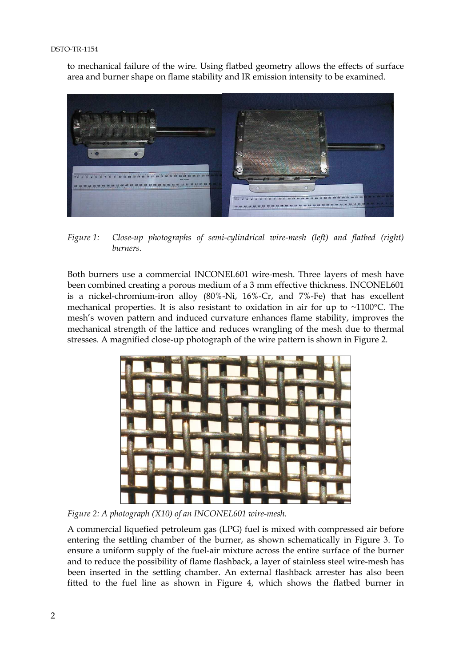#### DSTO-TR-1154

to mechanical failure of the wire. Using flatbed geometry allows the effects of surface area and burner shape on flame stability and IR emission intensity to be examined.



*Figure 1: Close-up photographs of semi-cylindrical wire-mesh (left) and flatbed (right) burners.*

Both burners use a commercial INCONEL601 wire-mesh. Three layers of mesh have been combined creating a porous medium of a 3 mm effective thickness. INCONEL601 is a nickel-chromium-iron alloy (80%-Ni, 16%-Cr, and 7%-Fe) that has excellent mechanical properties. It is also resistant to oxidation in air for up to ~1100°C. The mesh's woven pattern and induced curvature enhances flame stability, improves the mechanical strength of the lattice and reduces wrangling of the mesh due to thermal stresses. A magnified close-up photograph of the wire pattern is shown in Figure 2.



*Figure 2: A photograph (X10) of an INCONEL601 wire-mesh.*

A commercial liquefied petroleum gas (LPG) fuel is mixed with compressed air before entering the settling chamber of the burner, as shown schematically in Figure 3. To ensure a uniform supply of the fuel-air mixture across the entire surface of the burner and to reduce the possibility of flame flashback, a layer of stainless steel wire-mesh has been inserted in the settling chamber. An external flashback arrester has also been fitted to the fuel line as shown in Figure 4, which shows the flatbed burner in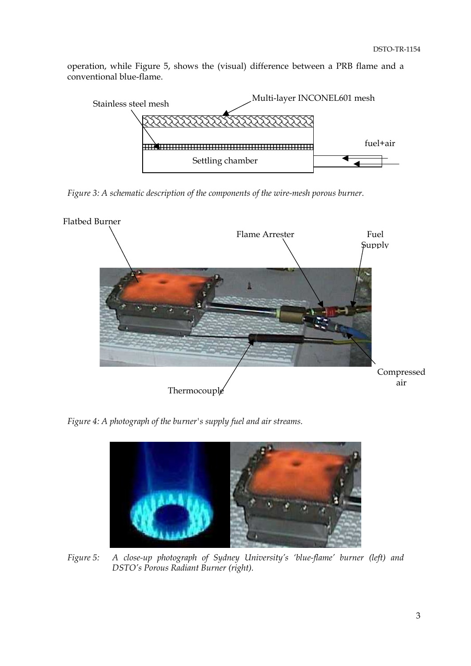operation, while Figure 5, shows the (visual) difference between a PRB flame and a conventional blue-flame.



*Figure 3: A schematic description of the components of the wire-mesh porous burner.*



*Figure 4: A photograph of the burner's supply fuel and air streams.*



*Figure 5: A close-up photograph of Sydney University's 'blue-flame' burner (left) and DSTO's Porous Radiant Burner (right).*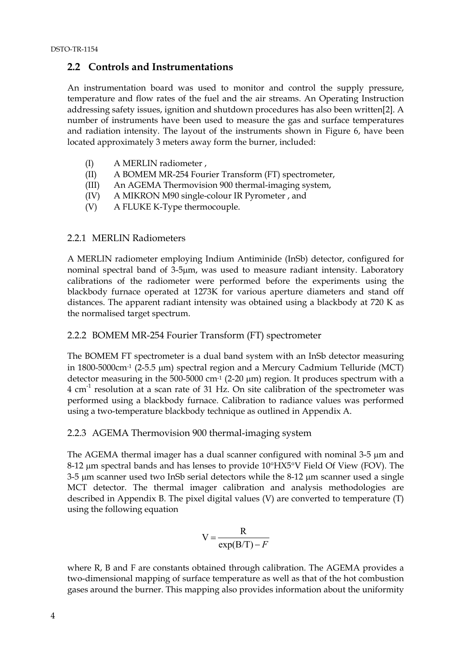## <span id="page-9-0"></span>**2.2 Controls and Instrumentations**

An instrumentation board was used to monitor and control the supply pressure, temperature and flow rates of the fuel and the air streams. An Operating Instruction addressing safety issues, ignition and shutdown procedures has also been written[2]. A number of instruments have been used to measure the gas and surface temperatures and radiation intensity. The layout of the instruments shown in Figure 6, have been located approximately 3 meters away form the burner, included:

- (I) A MERLIN radiometer ,
- (II) A BOMEM MR-254 Fourier Transform (FT) spectrometer,
- (III) An AGEMA Thermovision 900 thermal-imaging system,
- (IV) A MIKRON M90 single-colour IR Pyrometer , and
- (V) A FLUKE K-Type thermocouple.

## 2.2.1 MERLIN Radiometers

A MERLIN radiometer employing Indium Antiminide (InSb) detector, configured for nominal spectral band of 3-5µm, was used to measure radiant intensity. Laboratory calibrations of the radiometer were performed before the experiments using the blackbody furnace operated at 1273K for various aperture diameters and stand off distances. The apparent radiant intensity was obtained using a blackbody at 720 K as the normalised target spectrum.

## 2.2.2 BOMEM MR-254 Fourier Transform (FT) spectrometer

The BOMEM FT spectrometer is a dual band system with an InSb detector measuring in 1800-5000cm-1 (2-5.5 µm) spectral region and a Mercury Cadmium Telluride (MCT) detector measuring in the 500-5000 cm<sup>-1</sup> (2-20  $\mu$ m) region. It produces spectrum with a 4 cm-1 resolution at a scan rate of 31 Hz. On site calibration of the spectrometer was performed using a blackbody furnace. Calibration to radiance values was performed using a two-temperature blackbody technique as outlined in Appendix A.

### 2.2.3 AGEMA Thermovision 900 thermal-imaging system

The AGEMA thermal imager has a dual scanner configured with nominal 3-5 µm and 8-12 µm spectral bands and has lenses to provide 10°HX5°V Field Of View (FOV). The 3-5 µm scanner used two InSb serial detectors while the 8-12 µm scanner used a single MCT detector. The thermal imager calibration and analysis methodologies are described in Appendix B. The pixel digital values (V) are converted to temperature (T) using the following equation

$$
V = \frac{R}{\exp(B/T) - F}
$$

where R, B and F are constants obtained through calibration. The AGEMA provides a two-dimensional mapping of surface temperature as well as that of the hot combustion gases around the burner. This mapping also provides information about the uniformity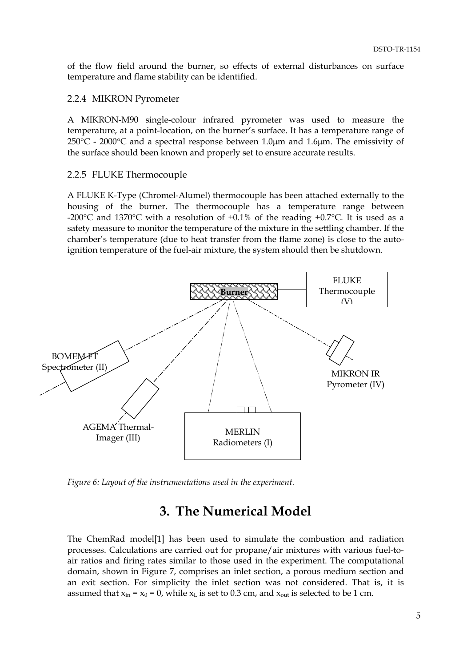<span id="page-10-0"></span>of the flow field around the burner, so effects of external disturbances on surface temperature and flame stability can be identified.

### 2.2.4 MIKRON Pyrometer

A MIKRON-M90 single-colour infrared pyrometer was used to measure the temperature, at a point-location, on the burner's surface. It has a temperature range of  $250^{\circ}$ C - 2000°C and a spectral response between 1.0 $\mu$ m and 1.6 $\mu$ m. The emissivity of the surface should been known and properly set to ensure accurate results.

#### 2.2.5 FLUKE Thermocouple

A FLUKE K-Type (Chromel-Alumel) thermocouple has been attached externally to the housing of the burner. The thermocouple has a temperature range between -200 $\degree$ C and 1370 $\degree$ C with a resolution of  $\pm 0.1\%$  of the reading +0.7 $\degree$ C. It is used as a safety measure to monitor the temperature of the mixture in the settling chamber. If the chamber's temperature (due to heat transfer from the flame zone) is close to the autoignition temperature of the fuel-air mixture, the system should then be shutdown.



*Figure 6: Layout of the instrumentations used in the experiment.*

# **3. The Numerical Model**

The ChemRad model[1] has been used to simulate the combustion and radiation processes. Calculations are carried out for propane/air mixtures with various fuel-toair ratios and firing rates similar to those used in the experiment. The computational domain, shown in Figure 7, comprises an inlet section, a porous medium section and an exit section. For simplicity the inlet section was not considered. That is, it is assumed that  $x_{in} = x_0 = 0$ , while  $x_L$  is set to 0.3 cm, and  $x_{out}$  is selected to be 1 cm.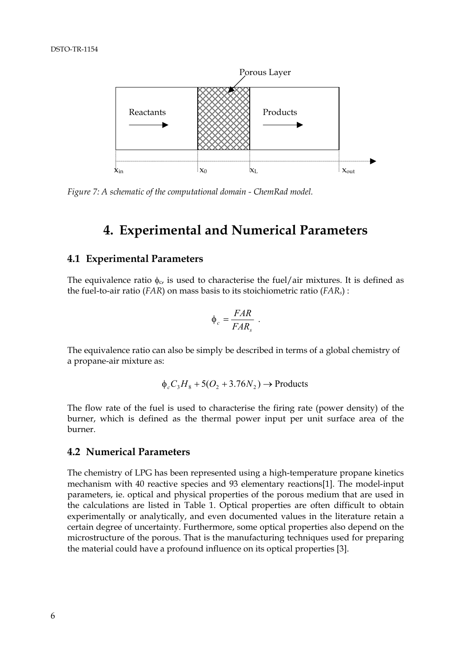

*Figure 7: A schematic of the computational domain - ChemRad model.*

## **4. Experimental and Numerical Parameters**

### **4.1 Experimental Parameters**

The equivalence ratio  $\phi_c$ , is used to characterise the fuel/air mixtures. It is defined as the fuel-to-air ratio (*FAR*) on mass basis to its stoichiometric ratio (*FARs*) :

$$
\Phi_c = \frac{FAR}{FAR_s} \ .
$$

The equivalence ratio can also be simply be described in terms of a global chemistry of a propane-air mixture as:

$$
\phi_c C_3 H_8 + 5(O_2 + 3.76N_2) \rightarrow \text{Products}
$$

The flow rate of the fuel is used to characterise the firing rate (power density) of the burner, which is defined as the thermal power input per unit surface area of the burner.

#### **4.2 Numerical Parameters**

The chemistry of LPG has been represented using a high-temperature propane kinetics mechanism with 40 reactive species and 93 elementary reactions[1]. The model-input parameters, ie. optical and physical properties of the porous medium that are used in the calculations are listed in Table 1. Optical properties are often difficult to obtain experimentally or analytically, and even documented values in the literature retain a certain degree of uncertainty. Furthermore, some optical properties also depend on the microstructure of the porous. That is the manufacturing techniques used for preparing the material could have a profound influence on its optical properties [3].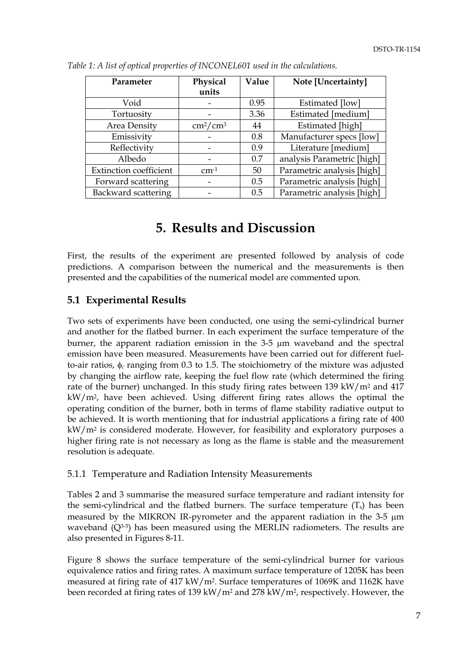| Parameter                     | Physical                  | Value | Note [Uncertainty]         |
|-------------------------------|---------------------------|-------|----------------------------|
|                               | units                     |       |                            |
| Void                          |                           | 0.95  | Estimated [low]            |
| Tortuosity                    |                           | 3.36  | Estimated [medium]         |
| Area Density                  | $\text{cm}^2/\text{cm}^3$ | 44    | Estimated [high]           |
| Emissivity                    |                           | 0.8   | Manufacturer specs [low]   |
| Reflectivity                  |                           | 0.9   | Literature [medium]        |
| Albedo                        |                           | 0.7   | analysis Parametric [high] |
| <b>Extinction coefficient</b> | $cm-1$                    | 50    | Parametric analysis [high] |
| Forward scattering            |                           | 0.5   | Parametric analysis [high] |
| Backward scattering           |                           | 0.5   | Parametric analysis [high] |

<span id="page-12-0"></span>*Table 1: A list of optical properties of INCONEL601 used in the calculations.*

# **5. Results and Discussion**

First, the results of the experiment are presented followed by analysis of code predictions. A comparison between the numerical and the measurements is then presented and the capabilities of the numerical model are commented upon.

## **5.1 Experimental Results**

Two sets of experiments have been conducted, one using the semi-cylindrical burner and another for the flatbed burner. In each experiment the surface temperature of the burner, the apparent radiation emission in the 3-5 µm waveband and the spectral emission have been measured. Measurements have been carried out for different fuelto-air ratios, φ*c* ranging from 0.3 to 1.5. The stoichiometry of the mixture was adjusted by changing the airflow rate, keeping the fuel flow rate (which determined the firing rate of the burner) unchanged. In this study firing rates between 139 kW/m<sup>2</sup> and 417  $kW/m<sup>2</sup>$ , have been achieved. Using different firing rates allows the optimal the operating condition of the burner, both in terms of flame stability radiative output to be achieved. It is worth mentioning that for industrial applications a firing rate of 400 kW/m2 is considered moderate. However, for feasibility and exploratory purposes a higher firing rate is not necessary as long as the flame is stable and the measurement resolution is adequate.

### 5.1.1 Temperature and Radiation Intensity Measurements

Tables 2 and 3 summarise the measured surface temperature and radiant intensity for the semi-cylindrical and the flatbed burners. The surface temperature  $(T<sub>s</sub>)$  has been measured by the MIKRON IR-pyrometer and the apparent radiation in the 3-5 µm waveband  $(Q<sup>3-5</sup>)$  has been measured using the MERLIN radiometers. The results are also presented in Figures 8-11.

Figure 8 shows the surface temperature of the semi-cylindrical burner for various equivalence ratios and firing rates. A maximum surface temperature of 1205K has been measured at firing rate of 417 kW/m2. Surface temperatures of 1069K and 1162K have been recorded at firing rates of 139 kW/m2 and 278 kW/m2, respectively. However, the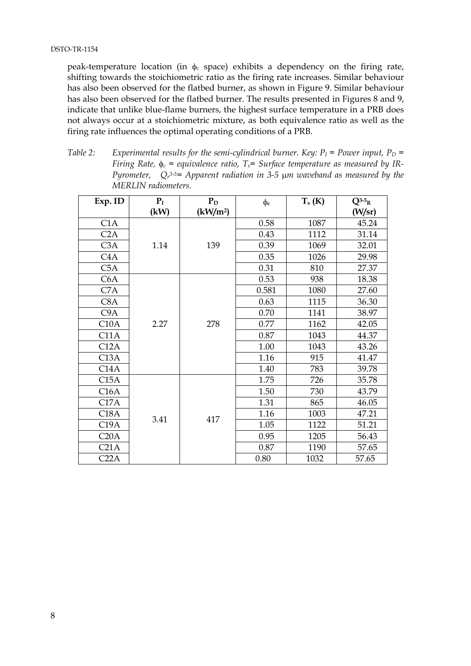peak-temperature location (in  $\phi_c$  space) exhibits a dependency on the firing rate, shifting towards the stoichiometric ratio as the firing rate increases. Similar behaviour has also been observed for the flatbed burner, as shown in Figure 9. Similar behaviour has also been observed for the flatbed burner. The results presented in Figures 8 and 9, indicate that unlike blue-flame burners, the highest surface temperature in a PRB does not always occur at a stoichiometric mixture, as both equivalence ratio as well as the firing rate influences the optimal operating conditions of a PRB.

*Table 2:* Experimental results for the semi-cylindrical burner. Key:  $P_I$  = Power input,  $P_D$  = *Firing Rate,*  $φ<sub>c</sub> = equivalence ratio, T<sub>s</sub> = Surface temperature as measured by IR-$ *Pyrometer, Qr 3-5= Apparent radiation in 3-5* µ*m waveband as measured by the MERLIN radiometers.*

| Exp. ID          | $P_I$ | $P_D$                | $\phi_c$ | $T_s$ (K) | $Q^{3-5}R$ |
|------------------|-------|----------------------|----------|-----------|------------|
|                  | (kW)  | (kW/m <sup>2</sup> ) |          |           | (W/sr)     |
| C1A              |       | 139                  | 0.58     | 1087      | 45.24      |
| C2A              |       |                      | 0.43     | 1112      | 31.14      |
| C3A              | 1.14  |                      | 0.39     | 1069      | 32.01      |
| C <sub>4</sub> A |       |                      | 0.35     | 1026      | 29.98      |
| C5A              |       |                      | 0.31     | 810       | 27.37      |
| C6A              |       |                      | 0.53     | 938       | 18.38      |
| C7A              |       |                      | 0.581    | 1080      | 27.60      |
| C <sub>8</sub> A |       |                      | 0.63     | 1115      | 36.30      |
| C9A              |       |                      | 0.70     | 1141      | 38.97      |
| C10A             | 2.27  | 278                  | 0.77     | 1162      | 42.05      |
| C11A             |       |                      | 0.87     | 1043      | 44.37      |
| C12A             |       |                      | 1.00     | 1043      | 43.26      |
| C13A             |       |                      | 1.16     | 915       | 41.47      |
| C14A             |       |                      | 1.40     | 783       | 39.78      |
| C15A             |       |                      | 1.75     | 726       | 35.78      |
| C16A             |       |                      | 1.50     | 730       | 43.79      |
| C17A             |       |                      | 1.31     | 865       | 46.05      |
| C18A             |       | 417                  | 1.16     | 1003      | 47.21      |
| C19A             | 3.41  |                      | 1.05     | 1122      | 51.21      |
| C20A             |       |                      | 0.95     | 1205      | 56.43      |
| C <sub>21A</sub> |       |                      | 0.87     | 1190      | 57.65      |
| C22A             |       |                      | 0.80     | 1032      | 57.65      |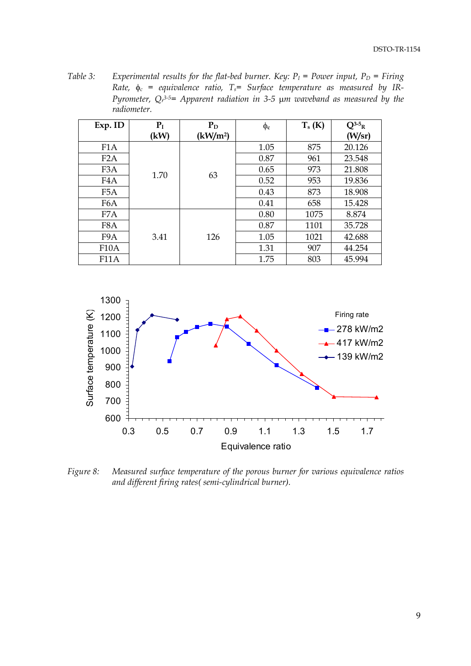*Table 3:* Experimental results for the flat-bed burner. Key:  $P_I$  = Power input,  $P_D$  = Firing Rate,  $\phi_c$  = equivalence ratio,  $T_s$ = Surface temperature as measured by IR-*Pyrometer, Qr 3-5= Apparent radiation in 3-5* µ*m waveband as measured by the radiometer.*

| Exp. ID           | P <sub>I</sub> | $P_D$                                                                                        | $\phi_c$ | $T_s(K)$ | $Q^{3-5}R$ |
|-------------------|----------------|----------------------------------------------------------------------------------------------|----------|----------|------------|
|                   | (kW)           | (kW/m <sup>2</sup> )                                                                         |          |          | (W/sr)     |
| F <sub>1</sub> A  |                | 875<br>1.05<br>0.87<br>961<br>973<br>0.65<br>63<br>953<br>0.52<br>873<br>0.43<br>0.41<br>658 |          |          | 20.126     |
| F <sub>2</sub> A  |                |                                                                                              |          |          | 23.548     |
| F <sub>3</sub> A  |                |                                                                                              |          |          | 21.808     |
| F <sub>4</sub> A  | 1.70           |                                                                                              |          | 19.836   |            |
| F <sub>5</sub> A  |                |                                                                                              |          |          | 18.908     |
| F <sub>6</sub> A  |                |                                                                                              |          |          | 15.428     |
| F7A               | 3.41           |                                                                                              | 0.80     | 1075     | 8.874      |
| F8A               |                | 0.87<br>1.05<br>126<br>1.31<br>1.75                                                          |          | 1101     | 35.728     |
| F9A               |                |                                                                                              |          | 1021     | 42.688     |
| F <sub>10</sub> A |                |                                                                                              | 907      | 44.254   |            |
| <b>F11A</b>       |                |                                                                                              |          | 803      | 45.994     |



*Figure 8: Measured surface temperature of the porous burner for various equivalence ratios and different firing rates( semi-cylindrical burner).*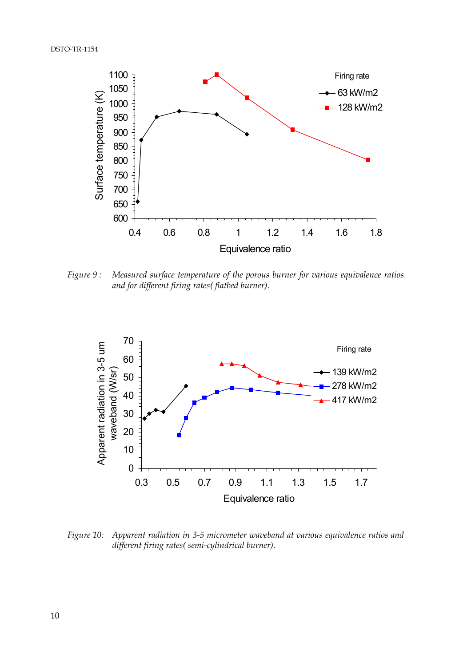

*Figure 9 : Measured surface temperature of the porous burner for various equivalence ratios and for different firing rates( flatbed burner).*



*Figure 10: Apparent radiation in 3-5 micrometer waveband at various equivalence ratios and different firing rates( semi-cylindrical burner).*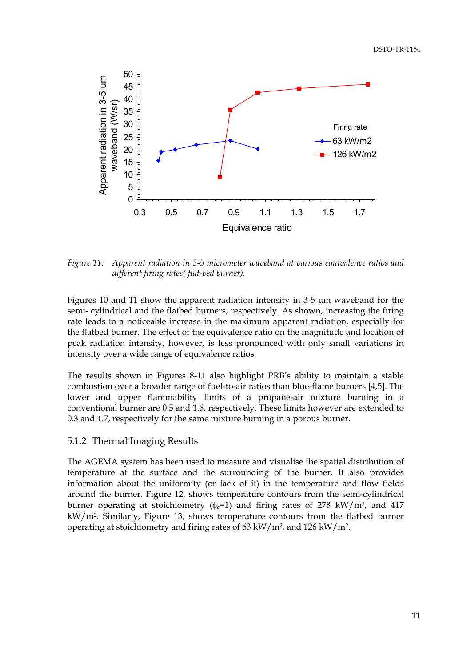<span id="page-16-0"></span>

*Figure 11: Apparent radiation in 3-5 micrometer waveband at various equivalence ratios and different firing rates( flat-bed burner).*

Figures 10 and 11 show the apparent radiation intensity in 3-5 µm waveband for the semi- cylindrical and the flatbed burners, respectively. As shown, increasing the firing rate leads to a noticeable increase in the maximum apparent radiation, especially for the flatbed burner. The effect of the equivalence ratio on the magnitude and location of peak radiation intensity, however, is less pronounced with only small variations in intensity over a wide range of equivalence ratios.

The results shown in Figures 8-11 also highlight PRB's ability to maintain a stable combustion over a broader range of fuel-to-air ratios than blue-flame burners [4,5]. The lower and upper flammability limits of a propane-air mixture burning in a conventional burner are 0.5 and 1.6, respectively. These limits however are extended to 0.3 and 1.7, respectively for the same mixture burning in a porous burner.

#### 5.1.2 Thermal Imaging Results

The AGEMA system has been used to measure and visualise the spatial distribution of temperature at the surface and the surrounding of the burner. It also provides information about the uniformity (or lack of it) in the temperature and flow fields around the burner. Figure 12, shows temperature contours from the semi-cylindrical burner operating at stoichiometry ( $\phi_c$ =1) and firing rates of 278 kW/m<sup>2</sup>, and 417 kW/m2. Similarly, Figure 13, shows temperature contours from the flatbed burner operating at stoichiometry and firing rates of 63 kW/m2, and 126 kW/m2.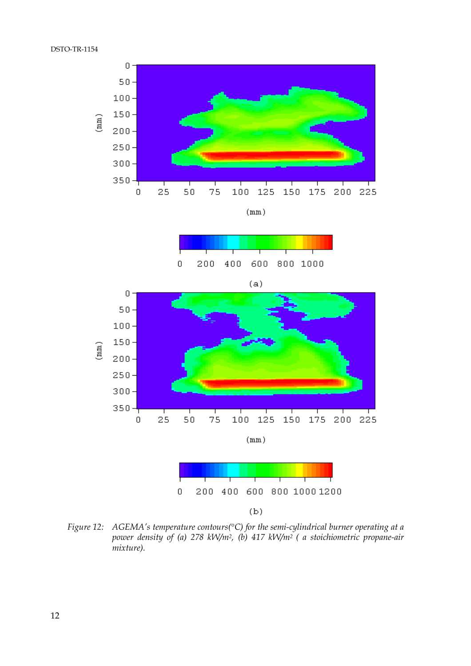





*Figure 12: AGEMA's temperature contours(*°*C) for the semi-cylindrical burner operating at a power density of (a) 278 kW/m2, (b) 417 kW/m2 ( a stoichiometric propane-air mixture).*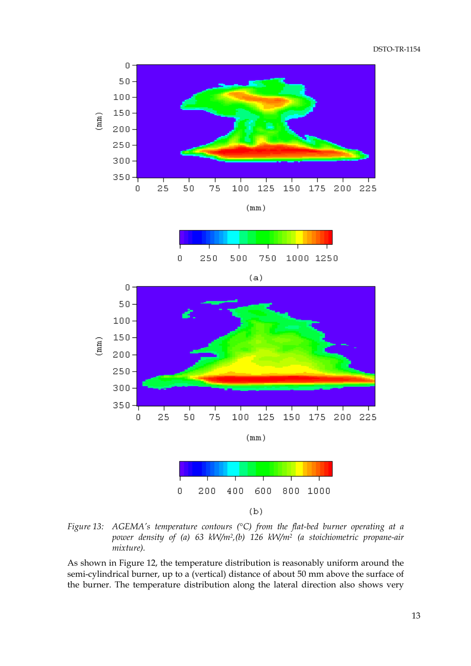

 $(mm)$ 





*Figure 13: AGEMA's temperature contours (*°*C) from the flat-bed burner operating at a power density of (a) 63 kW/m2,(b) 126 kW/m2 (a stoichiometric propane-air mixture).*

As shown in Figure 12, the temperature distribution is reasonably uniform around the semi-cylindrical burner, up to a (vertical) distance of about 50 mm above the surface of the burner. The temperature distribution along the lateral direction also shows very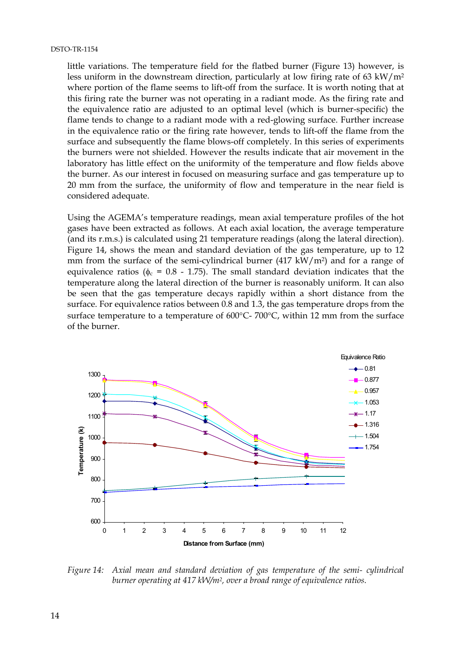#### DSTO-TR-1154

little variations. The temperature field for the flatbed burner (Figure 13) however, is less uniform in the downstream direction, particularly at low firing rate of 63 kW/ $m<sup>2</sup>$ where portion of the flame seems to lift-off from the surface. It is worth noting that at this firing rate the burner was not operating in a radiant mode. As the firing rate and the equivalence ratio are adjusted to an optimal level (which is burner-specific) the flame tends to change to a radiant mode with a red-glowing surface. Further increase in the equivalence ratio or the firing rate however, tends to lift-off the flame from the surface and subsequently the flame blows-off completely. In this series of experiments the burners were not shielded. However the results indicate that air movement in the laboratory has little effect on the uniformity of the temperature and flow fields above the burner. As our interest in focused on measuring surface and gas temperature up to 20 mm from the surface, the uniformity of flow and temperature in the near field is considered adequate.

Using the AGEMA's temperature readings, mean axial temperature profiles of the hot gases have been extracted as follows. At each axial location, the average temperature (and its r.m.s.) is calculated using 21 temperature readings (along the lateral direction). Figure 14, shows the mean and standard deviation of the gas temperature, up to 12 mm from the surface of the semi-cylindrical burner  $(417 \text{ kW/m}^2)$  and for a range of equivalence ratios ( $\phi_c = 0.8 - 1.75$ ). The small standard deviation indicates that the temperature along the lateral direction of the burner is reasonably uniform. It can also be seen that the gas temperature decays rapidly within a short distance from the surface. For equivalence ratios between 0.8 and 1.3, the gas temperature drops from the surface temperature to a temperature of 600°C- 700°C, within 12 mm from the surface of the burner.



*Figure 14: Axial mean and standard deviation of gas temperature of the semi- cylindrical burner operating at 417 kW/m2, over a broad range of equivalence ratios.*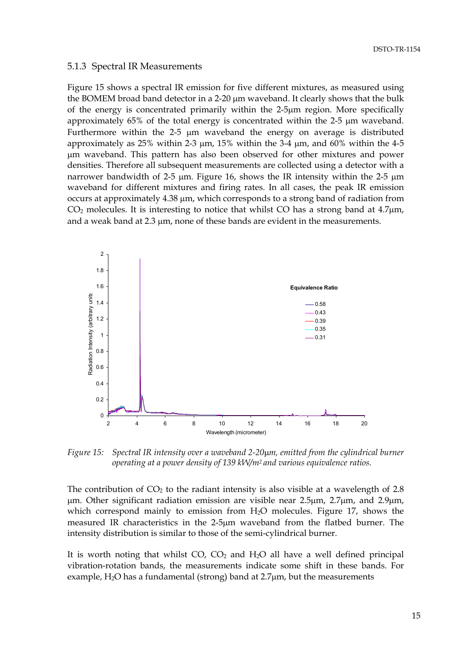#### <span id="page-20-0"></span>5.1.3 Spectral IR Measurements

Figure 15 shows a spectral IR emission for five different mixtures, as measured using the BOMEM broad band detector in a 2-20 µm waveband. It clearly shows that the bulk of the energy is concentrated primarily within the 2-5µm region. More specifically approximately 65% of the total energy is concentrated within the 2-5 µm waveband. Furthermore within the 2-5  $\mu$ m waveband the energy on average is distributed approximately as  $25\%$  within 2-3  $\mu$ m, 15% within the 3-4  $\mu$ m, and 60% within the 4-5 µm waveband. This pattern has also been observed for other mixtures and power densities. Therefore all subsequent measurements are collected using a detector with a narrower bandwidth of 2-5 µm. Figure 16, shows the IR intensity within the 2-5 µm waveband for different mixtures and firing rates. In all cases, the peak IR emission occurs at approximately 4.38 µm, which corresponds to a strong band of radiation from  $CO<sub>2</sub>$  molecules. It is interesting to notice that whilst CO has a strong band at  $4.7 \mu m$ , and a weak band at 2.3 µm, none of these bands are evident in the measurements.



*Figure 15: Spectral IR intensity over a waveband 2-20*µ*m, emitted from the cylindrical burner operating at a power density of 139 kW/m2 and various equivalence ratios.*

The contribution of  $CO<sub>2</sub>$  to the radiant intensity is also visible at a wavelength of 2.8 µm. Other significant radiation emission are visible near 2.5µm, 2.7µm, and 2.9µm, which correspond mainly to emission from  $H_2O$  molecules. Figure 17, shows the measured IR characteristics in the 2-5µm waveband from the flatbed burner. The intensity distribution is similar to those of the semi-cylindrical burner.

It is worth noting that whilst  $CO$ ,  $CO<sub>2</sub>$  and  $H<sub>2</sub>O$  all have a well defined principal vibration-rotation bands, the measurements indicate some shift in these bands. For example,  $H_2O$  has a fundamental (strong) band at 2.7 $\mu$ m, but the measurements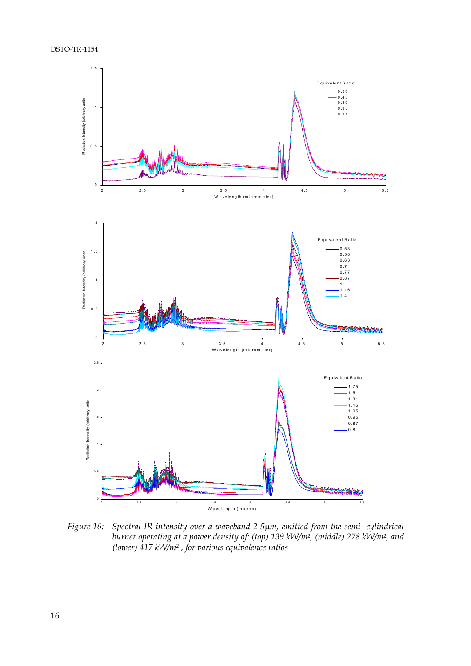DSTO-TR-1154



*Figure 16: Spectral IR intensity over a waveband 2-5*µ*m, emitted from the semi- cylindrical burner operating at a power density of: (top) 139 kW/m2, (middle) 278 kW/m2, and (lower) 417 kW/m2 , for various equivalence ratios*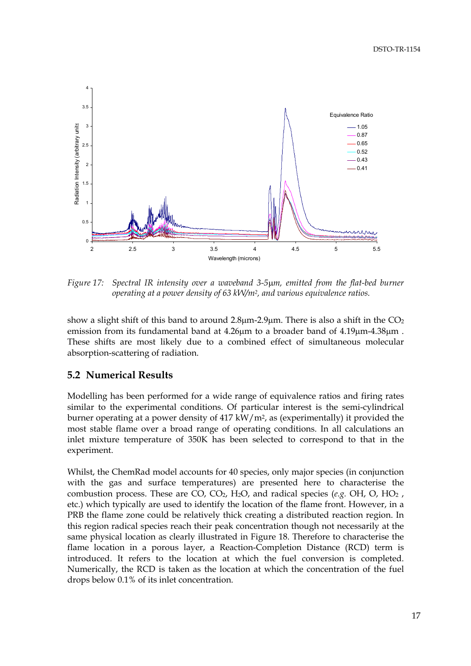<span id="page-22-0"></span>

*Figure 17: Spectral IR intensity over a waveband 3-5*µ*m, emitted from the flat-bed burner operating at a power density of 63 kW/m2, and various equivalence ratios.*

show a slight shift of this band to around  $2.8\mu$ m-2.9 $\mu$ m. There is also a shift in the CO<sub>2</sub> emission from its fundamental band at  $4.26\mu m$  to a broader band of  $4.19\mu m-4.38\mu m$ . These shifts are most likely due to a combined effect of simultaneous molecular absorption-scattering of radiation.

## **5.2 Numerical Results**

Modelling has been performed for a wide range of equivalence ratios and firing rates similar to the experimental conditions. Of particular interest is the semi-cylindrical burner operating at a power density of 417 kW/m2, as (experimentally) it provided the most stable flame over a broad range of operating conditions. In all calculations an inlet mixture temperature of 350K has been selected to correspond to that in the experiment.

Whilst, the ChemRad model accounts for 40 species, only major species (in conjunction with the gas and surface temperatures) are presented here to characterise the combustion process. These are  $CO$ ,  $CO<sub>2</sub>$ ,  $H<sub>2</sub>O$ , and radical species (*e.g.*  $OH$ ,  $O$ ,  $HO<sub>2</sub>$ , etc.) which typically are used to identify the location of the flame front. However, in a PRB the flame zone could be relatively thick creating a distributed reaction region. In this region radical species reach their peak concentration though not necessarily at the same physical location as clearly illustrated in Figure 18. Therefore to characterise the flame location in a porous layer, a Reaction-Completion Distance (RCD) term is introduced. It refers to the location at which the fuel conversion is completed. Numerically, the RCD is taken as the location at which the concentration of the fuel drops below 0.1% of its inlet concentration.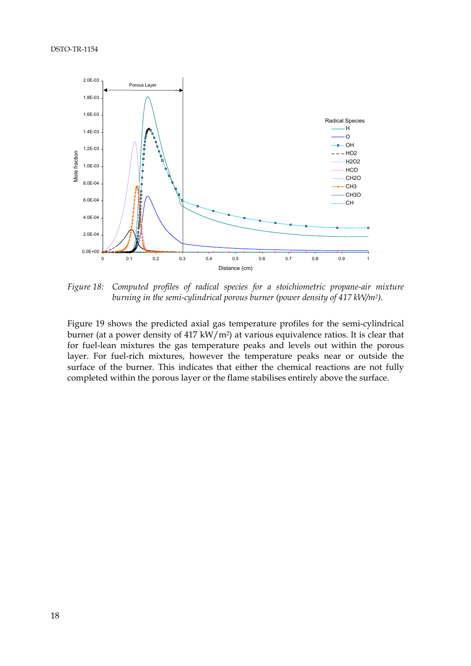#### DSTO-TR-1154



*Figure 18: Computed profiles of radical species for a stoichiometric propane-air mixture burning in the semi-cylindrical porous burner (power density of 417 kW/m2).*

Figure 19 shows the predicted axial gas temperature profiles for the semi-cylindrical burner (at a power density of 417 kW/m2) at various equivalence ratios. It is clear that for fuel-lean mixtures the gas temperature peaks and levels out within the porous layer. For fuel-rich mixtures, however the temperature peaks near or outside the surface of the burner. This indicates that either the chemical reactions are not fully completed within the porous layer or the flame stabilises entirely above the surface.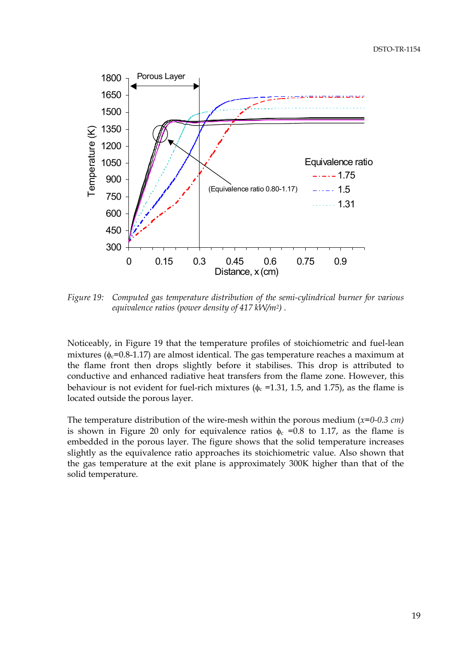

*Figure 19: Computed gas temperature distribution of the semi-cylindrical burner for various equivalence ratios (power density of 417 kW/m2) .*

Noticeably, in Figure 19 that the temperature profiles of stoichiometric and fuel-lean mixtures ( $\phi_c$ =0.8-1.17) are almost identical. The gas temperature reaches a maximum at the flame front then drops slightly before it stabilises. This drop is attributed to conductive and enhanced radiative heat transfers from the flame zone. However, this behaviour is not evident for fuel-rich mixtures ( $\phi_c$  =1.31, 1.5, and 1.75), as the flame is located outside the porous layer.

The temperature distribution of the wire-mesh within the porous medium (*x=0-0.3 cm)* is shown in Figure 20 only for equivalence ratios  $\phi_c = 0.8$  to 1.17, as the flame is embedded in the porous layer. The figure shows that the solid temperature increases slightly as the equivalence ratio approaches its stoichiometric value. Also shown that the gas temperature at the exit plane is approximately 300K higher than that of the solid temperature.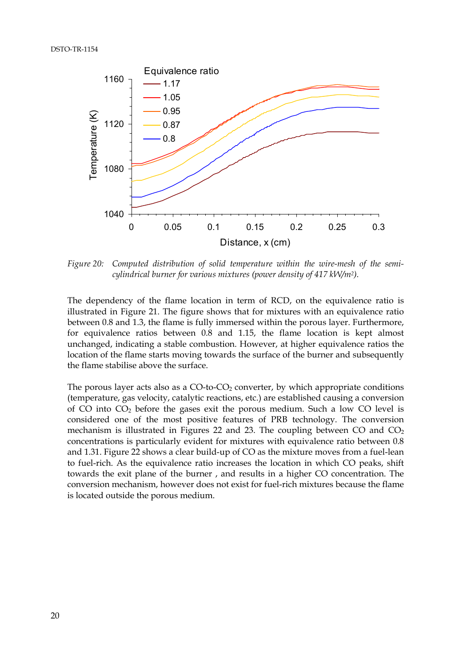#### DSTO-TR-1154



*Figure 20: Computed distribution of solid temperature within the wire-mesh of the semicylindrical burner for various mixtures (power density of 417 kW/m2).*

The dependency of the flame location in term of RCD, on the equivalence ratio is illustrated in Figure 21. The figure shows that for mixtures with an equivalence ratio between 0.8 and 1.3, the flame is fully immersed within the porous layer. Furthermore, for equivalence ratios between 0.8 and 1.15, the flame location is kept almost unchanged, indicating a stable combustion. However, at higher equivalence ratios the location of the flame starts moving towards the surface of the burner and subsequently the flame stabilise above the surface.

The porous layer acts also as a  $CO$ -to- $CO<sub>2</sub>$  converter, by which appropriate conditions (temperature, gas velocity, catalytic reactions, etc.) are established causing a conversion of CO into CO2 before the gases exit the porous medium. Such a low CO level is considered one of the most positive features of PRB technology. The conversion mechanism is illustrated in Figures 22 and 23. The coupling between CO and  $CO<sub>2</sub>$ concentrations is particularly evident for mixtures with equivalence ratio between 0.8 and 1.31. Figure 22 shows a clear build-up of CO as the mixture moves from a fuel-lean to fuel-rich. As the equivalence ratio increases the location in which CO peaks, shift towards the exit plane of the burner , and results in a higher CO concentration. The conversion mechanism, however does not exist for fuel-rich mixtures because the flame is located outside the porous medium.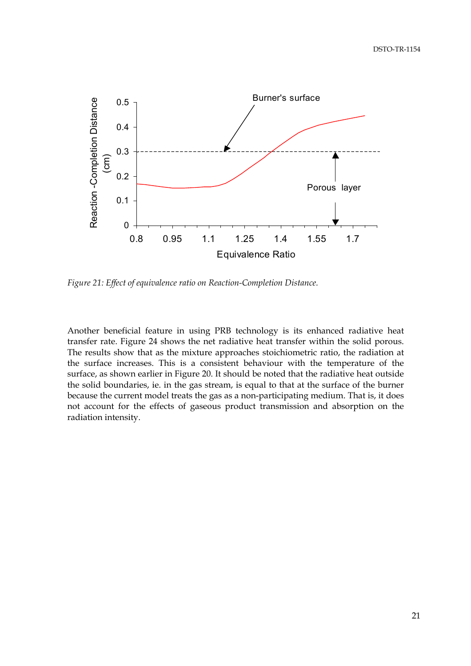

*Figure 21: Effect of equivalence ratio on Reaction-Completion Distance.*

Another beneficial feature in using PRB technology is its enhanced radiative heat transfer rate. Figure 24 shows the net radiative heat transfer within the solid porous. The results show that as the mixture approaches stoichiometric ratio, the radiation at the surface increases. This is a consistent behaviour with the temperature of the surface, as shown earlier in Figure 20. It should be noted that the radiative heat outside the solid boundaries, ie. in the gas stream, is equal to that at the surface of the burner because the current model treats the gas as a non-participating medium. That is, it does not account for the effects of gaseous product transmission and absorption on the radiation intensity.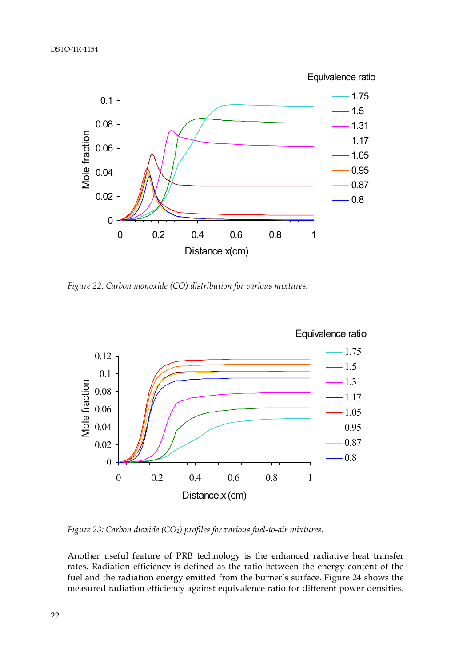

*Figure 22: Carbon monoxide (CO) distribution for various mixtures.*



*Figure 23: Carbon dioxide (CO2) profiles for various fuel-to-air mixtures.*

Another useful feature of PRB technology is the enhanced radiative heat transfer rates. Radiation efficiency is defined as the ratio between the energy content of the fuel and the radiation energy emitted from the burner's surface. Figure 24 shows the measured radiation efficiency against equivalence ratio for different power densities.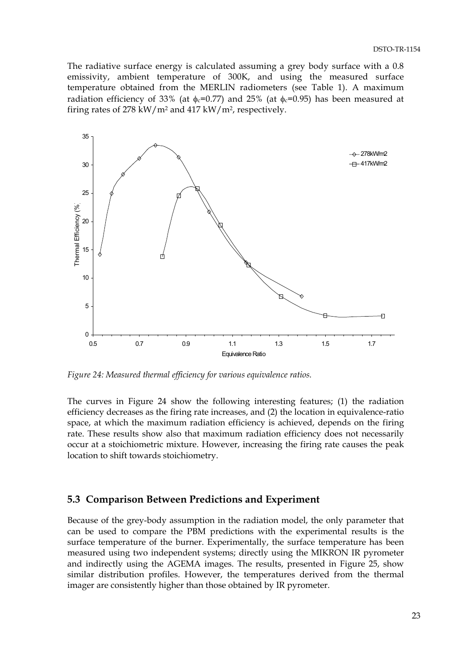<span id="page-28-0"></span>The radiative surface energy is calculated assuming a grey body surface with a 0.8 emissivity, ambient temperature of 300K, and using the measured surface temperature obtained from the MERLIN radiometers (see Table 1). A maximum radiation efficiency of 33% (at  $\phi_c$ =0.77) and 25% (at  $\phi_c$ =0.95) has been measured at firing rates of 278 kW/m2 and 417 kW/m2, respectively.



*Figure 24: Measured thermal efficiency for various equivalence ratios.*

The curves in Figure 24 show the following interesting features; (1) the radiation efficiency decreases as the firing rate increases, and (2) the location in equivalence-ratio space, at which the maximum radiation efficiency is achieved, depends on the firing rate. These results show also that maximum radiation efficiency does not necessarily occur at a stoichiometric mixture. However, increasing the firing rate causes the peak location to shift towards stoichiometry.

### **5.3 Comparison Between Predictions and Experiment**

Because of the grey-body assumption in the radiation model, the only parameter that can be used to compare the PBM predictions with the experimental results is the surface temperature of the burner. Experimentally, the surface temperature has been measured using two independent systems; directly using the MIKRON IR pyrometer and indirectly using the AGEMA images. The results, presented in Figure 25, show similar distribution profiles. However, the temperatures derived from the thermal imager are consistently higher than those obtained by IR pyrometer.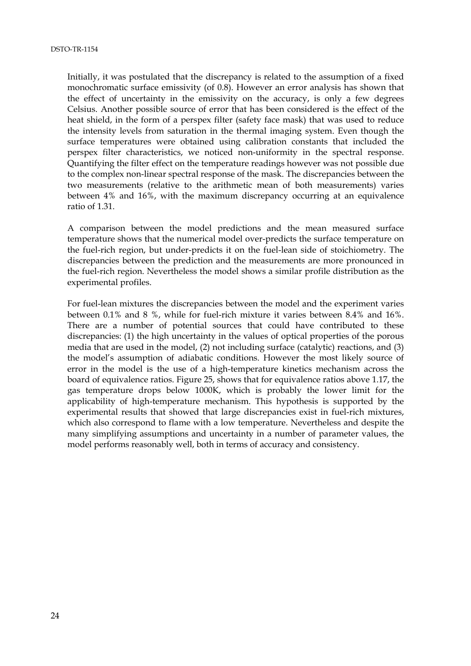Initially, it was postulated that the discrepancy is related to the assumption of a fixed monochromatic surface emissivity (of 0.8). However an error analysis has shown that the effect of uncertainty in the emissivity on the accuracy, is only a few degrees Celsius. Another possible source of error that has been considered is the effect of the heat shield, in the form of a perspex filter (safety face mask) that was used to reduce the intensity levels from saturation in the thermal imaging system. Even though the surface temperatures were obtained using calibration constants that included the perspex filter characteristics, we noticed non-uniformity in the spectral response. Quantifying the filter effect on the temperature readings however was not possible due to the complex non-linear spectral response of the mask. The discrepancies between the two measurements (relative to the arithmetic mean of both measurements) varies between 4% and 16%, with the maximum discrepancy occurring at an equivalence ratio of 1.31.

A comparison between the model predictions and the mean measured surface temperature shows that the numerical model over-predicts the surface temperature on the fuel-rich region, but under-predicts it on the fuel-lean side of stoichiometry. The discrepancies between the prediction and the measurements are more pronounced in the fuel-rich region. Nevertheless the model shows a similar profile distribution as the experimental profiles.

For fuel-lean mixtures the discrepancies between the model and the experiment varies between 0.1% and 8 %, while for fuel-rich mixture it varies between 8.4% and 16%. There are a number of potential sources that could have contributed to these discrepancies: (1) the high uncertainty in the values of optical properties of the porous media that are used in the model, (2) not including surface (catalytic) reactions, and (3) the model's assumption of adiabatic conditions. However the most likely source of error in the model is the use of a high-temperature kinetics mechanism across the board of equivalence ratios. Figure 25, shows that for equivalence ratios above 1.17, the gas temperature drops below 1000K, which is probably the lower limit for the applicability of high-temperature mechanism. This hypothesis is supported by the experimental results that showed that large discrepancies exist in fuel-rich mixtures, which also correspond to flame with a low temperature. Nevertheless and despite the many simplifying assumptions and uncertainty in a number of parameter values, the model performs reasonably well, both in terms of accuracy and consistency.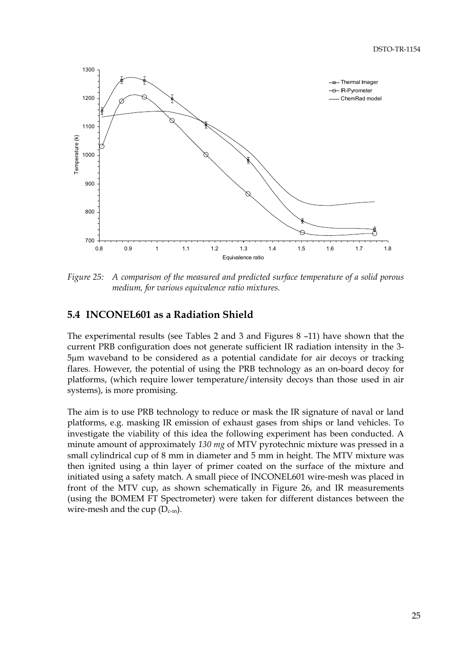<span id="page-30-0"></span>

*Figure 25: A comparison of the measured and predicted surface temperature of a solid porous medium, for various equivalence ratio mixtures.*

## **5.4 INCONEL601 as a Radiation Shield**

The experimental results (see Tables 2 and 3 and Figures 8 –11) have shown that the current PRB configuration does not generate sufficient IR radiation intensity in the 3- 5µm waveband to be considered as a potential candidate for air decoys or tracking flares. However, the potential of using the PRB technology as an on-board decoy for platforms, (which require lower temperature/intensity decoys than those used in air systems), is more promising.

The aim is to use PRB technology to reduce or mask the IR signature of naval or land platforms, e.g. masking IR emission of exhaust gases from ships or land vehicles. To investigate the viability of this idea the following experiment has been conducted. A minute amount of approximately *130 mg* of MTV pyrotechnic mixture was pressed in a small cylindrical cup of 8 mm in diameter and 5 mm in height. The MTV mixture was then ignited using a thin layer of primer coated on the surface of the mixture and initiated using a safety match. A small piece of INCONEL601 wire-mesh was placed in front of the MTV cup, as shown schematically in Figure 26, and IR measurements (using the BOMEM FT Spectrometer) were taken for different distances between the wire-mesh and the cup  $(D_{c-m})$ .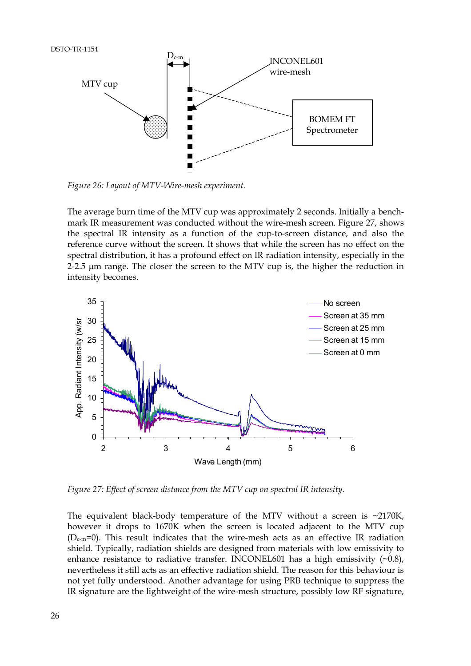

*Figure 26: Layout of MTV-Wire-mesh experiment.*

The average burn time of the MTV cup was approximately 2 seconds. Initially a benchmark IR measurement was conducted without the wire-mesh screen. Figure 27, shows the spectral IR intensity as a function of the cup-to-screen distance, and also the reference curve without the screen. It shows that while the screen has no effect on the spectral distribution, it has a profound effect on IR radiation intensity, especially in the 2-2.5 µm range. The closer the screen to the MTV cup is, the higher the reduction in intensity becomes.



*Figure 27: Effect of screen distance from the MTV cup on spectral IR intensity.*

The equivalent black-body temperature of the MTV without a screen is  $\sim$ 2170K, however it drops to 1670K when the screen is located adjacent to the MTV cup  $(D_{c-m}=0)$ . This result indicates that the wire-mesh acts as an effective IR radiation shield. Typically, radiation shields are designed from materials with low emissivity to enhance resistance to radiative transfer. INCONEL601 has a high emissivity  $(\sim 0.8)$ , nevertheless it still acts as an effective radiation shield. The reason for this behaviour is not yet fully understood. Another advantage for using PRB technique to suppress the IR signature are the lightweight of the wire-mesh structure, possibly low RF signature,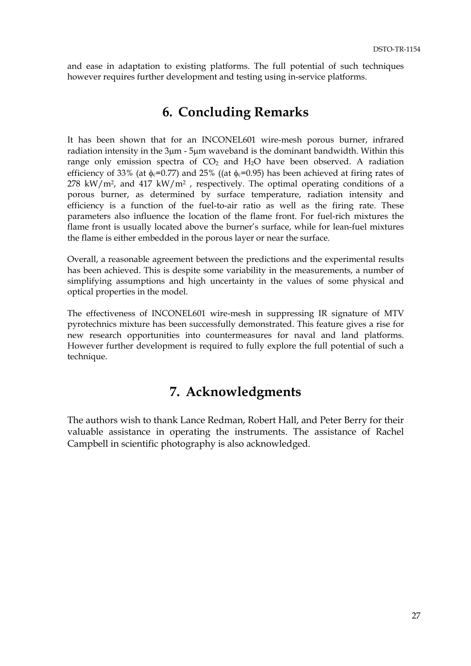<span id="page-32-0"></span>and ease in adaptation to existing platforms. The full potential of such techniques however requires further development and testing using in-service platforms.

## **6. Concluding Remarks**

It has been shown that for an INCONEL601 wire-mesh porous burner, infrared radiation intensity in the 3µm - 5µm waveband is the dominant bandwidth. Within this range only emission spectra of  $CO<sub>2</sub>$  and  $H<sub>2</sub>O$  have been observed. A radiation efficiency of 33% (at  $\phi_c$ =0.77) and 25% ((at  $\phi_c$ =0.95) has been achieved at firing rates of  $278$  kW/m<sup>2</sup>, and  $417$  kW/m<sup>2</sup>, respectively. The optimal operating conditions of a porous burner, as determined by surface temperature, radiation intensity and efficiency is a function of the fuel-to-air ratio as well as the firing rate. These parameters also influence the location of the flame front. For fuel-rich mixtures the flame front is usually located above the burner's surface, while for lean-fuel mixtures the flame is either embedded in the porous layer or near the surface.

Overall, a reasonable agreement between the predictions and the experimental results has been achieved. This is despite some variability in the measurements, a number of simplifying assumptions and high uncertainty in the values of some physical and optical properties in the model.

The effectiveness of INCONEL601 wire-mesh in suppressing IR signature of MTV pyrotechnics mixture has been successfully demonstrated. This feature gives a rise for new research opportunities into countermeasures for naval and land platforms. However further development is required to fully explore the full potential of such a technique.

# **7. Acknowledgments**

The authors wish to thank Lance Redman, Robert Hall, and Peter Berry for their valuable assistance in operating the instruments. The assistance of Rachel Campbell in scientific photography is also acknowledged.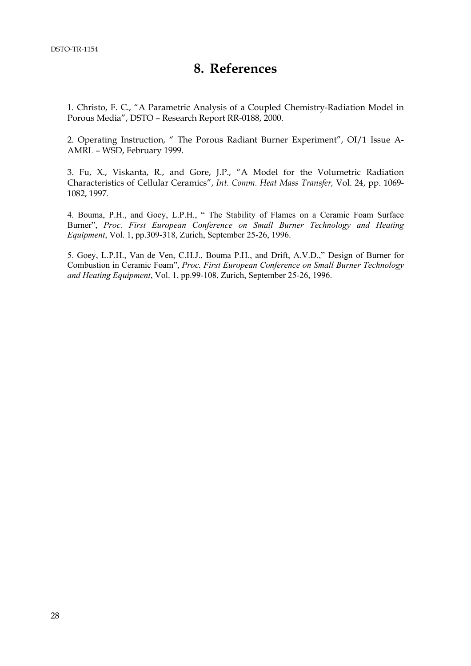## **8. References**

<span id="page-33-0"></span>1. Christo, F. C., "A Parametric Analysis of a Coupled Chemistry-Radiation Model in Porous Media", DSTO – Research Report RR-0188, 2000.

2. Operating Instruction, " The Porous Radiant Burner Experiment", OI/1 Issue A-AMRL – WSD, February 1999.

3. Fu, X., Viskanta, R., and Gore, J.P., "A Model for the Volumetric Radiation Characteristics of Cellular Ceramics", *Int. Comm. Heat Mass Transfer,* Vol. 24, pp. 1069- 1082, 1997.

4. Bouma, P.H., and Goey, L.P.H., " The Stability of Flames on a Ceramic Foam Surface Burner", *Proc. First European Conference on Small Burner Technology and Heating Equipment*, Vol. 1, pp.309-318, Zurich, September 25-26, 1996.

5. Goey, L.P.H., Van de Ven, C.H.J., Bouma P.H., and Drift, A.V.D.," Design of Burner for Combustion in Ceramic Foam", *Proc. First European Conference on Small Burner Technology and Heating Equipment*, Vol. 1, pp.99-108, Zurich, September 25-26, 1996.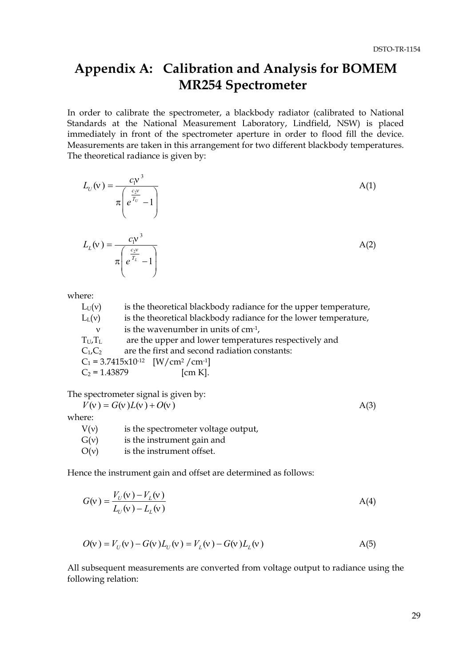# <span id="page-34-0"></span>**Appendix A: Calibration and Analysis for BOMEM MR254 Spectrometer**

In order to calibrate the spectrometer, a blackbody radiator (calibrated to National Standards at the National Measurement Laboratory, Lindfield, NSW) is placed immediately in front of the spectrometer aperture in order to flood fill the device. Measurements are taken in this arrangement for two different blackbody temperatures. The theoretical radiance is given by:

$$
L_U(v) = \frac{c_1 v^3}{\pi \left(e^{\frac{c_2 v}{T_U}} - 1\right)}
$$
  
\n
$$
L_L(v) = \frac{c_1 v^3}{\pi \left(e^{\frac{c_2 v}{T_L}} - 1\right)}
$$
  
\nA(2)

where:

| $L_U(v)$        | is the theoretical blackbody radiance for the upper temperature,      |
|-----------------|-----------------------------------------------------------------------|
| $L_{L}(v)$      | is the theoretical blackbody radiance for the lower temperature,      |
| ν               | is the wavenumber in units of $cm-1$ ,                                |
| $T_U, T_L$      | are the upper and lower temperatures respectively and                 |
| $C_1$ , $C_2$   | are the first and second radiation constants:                         |
|                 | $C_1 = 3.7415 \times 10^{-12}$ [W/cm <sup>2</sup> /cm <sup>-1</sup> ] |
| $C_2$ = 1.43879 | $\mathrm{[cm\,K]}$ .                                                  |
|                 |                                                                       |

The spectrometer signal is given by:

 $V(v) = G(v)L(v) + O(v)$  A(3)

where:

| V(v) | is the spectrometer voltage output, |
|------|-------------------------------------|
| G(v) | is the instrument gain and          |

 $O(v)$  is the instrument offset.

Hence the instrument gain and offset are determined as follows:

$$
G(v) = \frac{V_U(v) - V_L(v)}{L_U(v) - L_L(v)}
$$
 A(4)

$$
O(v) = V_U(v) - G(v)L_U(v) = V_L(v) - G(v)L_L(v)
$$
 (A(5)

All subsequent measurements are converted from voltage output to radiance using the following relation: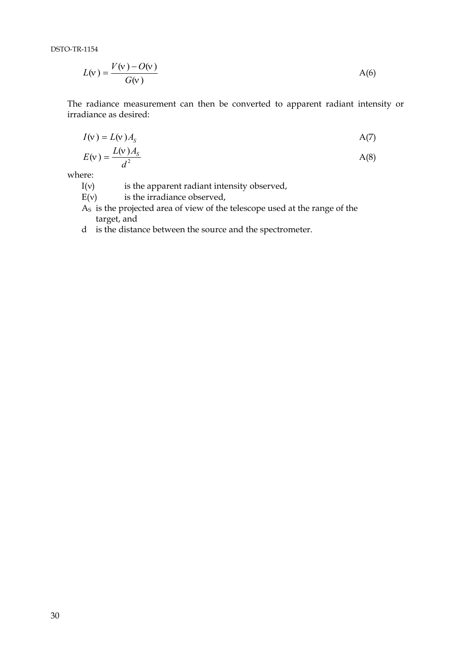DSTO-TR-1154

$$
L(v) = \frac{V(v) - O(v)}{G(v)}
$$

The radiance measurement can then be converted to apparent radiant intensity or irradiance as desired:

$$
I(v) = L(v)AS \t A(7)
$$

$$
E(v) = \frac{L(v)A_s}{d^2}
$$

where:

I(v) is the apparent radiant intensity observed,

 $E(v)$  is the irradiance observed,

AS is the projected area of view of the telescope used at the range of the target, and

d is the distance between the source and the spectrometer.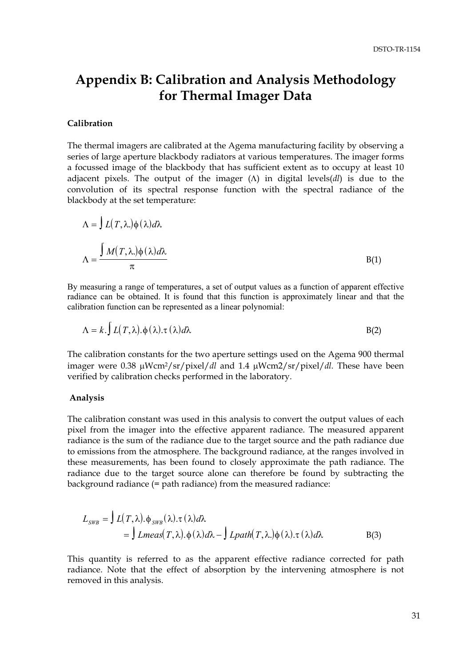# <span id="page-36-0"></span>**Appendix B: Calibration and Analysis Methodology for Thermal Imager Data**

#### **Calibration**

The thermal imagers are calibrated at the Agema manufacturing facility by observing a series of large aperture blackbody radiators at various temperatures. The imager forms a focussed image of the blackbody that has sufficient extent as to occupy at least 10 adjacent pixels. The output of the imager (Λ) in digital levels(*dl*) is due to the convolution of its spectral response function with the spectral radiance of the blackbody at the set temperature:

$$
\Lambda = \int L(T, \lambda) \phi(\lambda) d\lambda
$$

$$
\Lambda = \frac{\int M(T, \lambda) \phi(\lambda) d\lambda}{\pi}
$$
 B(1)

By measuring a range of temperatures, a set of output values as a function of apparent effective radiance can be obtained. It is found that this function is approximately linear and that the calibration function can be represented as a linear polynomial:

$$
\Lambda = k. \int L(T, \lambda). \phi(\lambda). \tau(\lambda) d\lambda
$$

The calibration constants for the two aperture settings used on the Agema 900 thermal imager were 0.38 µWcm2/sr/pixel/*dl* and 1.4 µWcm2/sr/pixel/*dl.* These have been verified by calibration checks performed in the laboratory.

#### **Analysis**

The calibration constant was used in this analysis to convert the output values of each pixel from the imager into the effective apparent radiance. The measured apparent radiance is the sum of the radiance due to the target source and the path radiance due to emissions from the atmosphere. The background radiance, at the ranges involved in these measurements, has been found to closely approximate the path radiance. The radiance due to the target source alone can therefore be found by subtracting the background radiance (= path radiance) from the measured radiance:

$$
L_{SWB} = \int L(T, \lambda) . \phi_{SWB}(\lambda) . \tau(\lambda) d\lambda
$$
  
= 
$$
\int Lmeas(T, \lambda) . \phi(\lambda) d\lambda - \int Lpath(T, \lambda) . \phi(\lambda) . \tau(\lambda) d\lambda
$$
 B(3)

This quantity is referred to as the apparent effective radiance corrected for path radiance. Note that the effect of absorption by the intervening atmosphere is not removed in this analysis.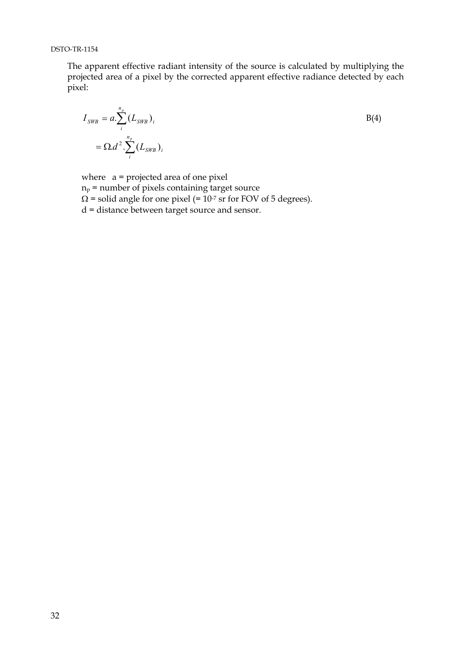The apparent effective radiant intensity of the source is calculated by multiplying the projected area of a pixel by the corrected apparent effective radiance detected by each pixel:

$$
I_{SWB} = a \cdot \sum_{i}^{n_p} (L_{SWB})_i
$$
  
=  $\Omega d^2 \cdot \sum_{i}^{n_p} (L_{SWB})_i$ 

where  $a =$  projected area of one pixel  $n_p$  = number of pixels containing target source  $\Omega$  = solid angle for one pixel (= 10<sup>-7</sup> sr for FOV of 5 degrees). d = distance between target source and sensor.